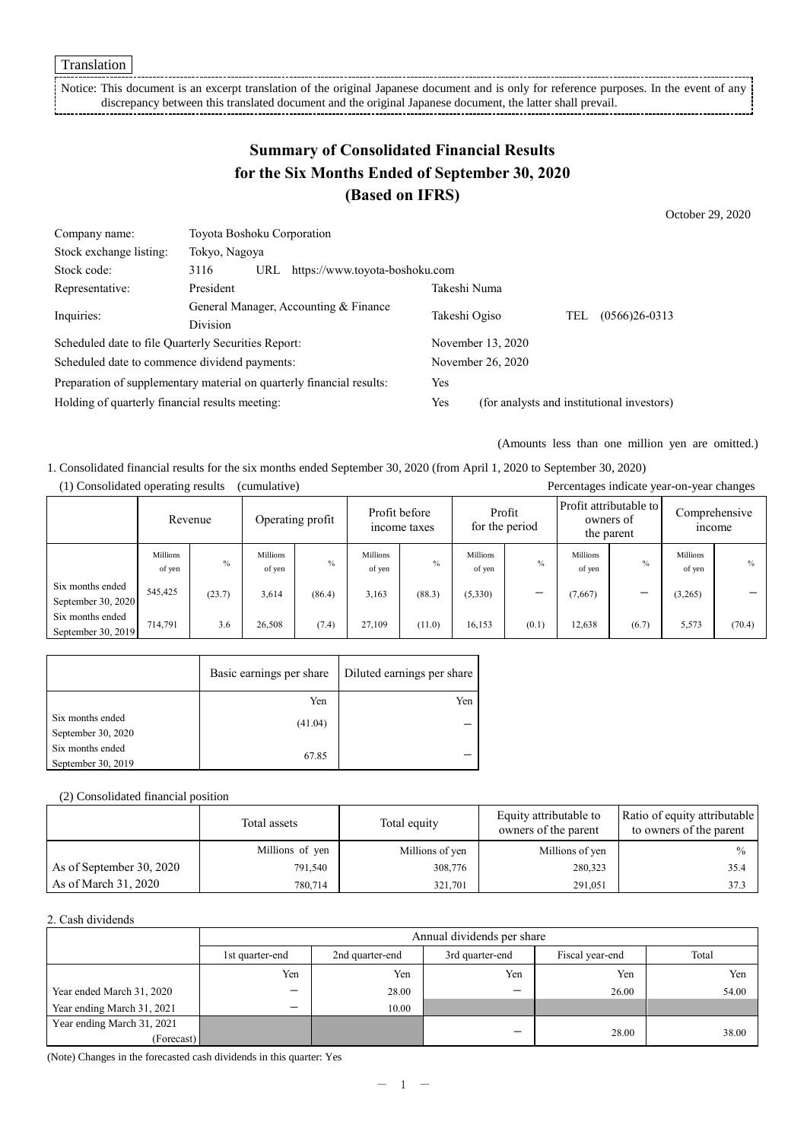Notice: This document is an excerpt translation of the original Japanese document and is only for reference purposes. In the event of any discrepancy between this translated document and the original Japanese document, the latter shall prevail.

# **Summary of Consolidated Financial Results for the Six Months Ended of September 30, 2020 (Based on IFRS)**

October 29, 2020

| Company name:                                                         | Toyota Boshoku Corporation                               |     |                                |                                            |     |                   |  |
|-----------------------------------------------------------------------|----------------------------------------------------------|-----|--------------------------------|--------------------------------------------|-----|-------------------|--|
| Stock exchange listing:                                               | Tokyo, Nagoya                                            |     |                                |                                            |     |                   |  |
| Stock code:                                                           | 3116                                                     | URL | https://www.toyota-boshoku.com |                                            |     |                   |  |
| Representative:                                                       | President                                                |     |                                | Takeshi Numa                               |     |                   |  |
| Inquiries:                                                            | General Manager, Accounting & Finance<br><b>Division</b> |     | Takeshi Ogiso                  |                                            | TEL | $(0566)26 - 0313$ |  |
| Scheduled date to file Quarterly Securities Report:                   |                                                          |     | November 13, 2020              |                                            |     |                   |  |
| Scheduled date to commence dividend payments:                         |                                                          |     | November 26, 2020              |                                            |     |                   |  |
| Preparation of supplementary material on quarterly financial results: |                                                          |     | Yes                            |                                            |     |                   |  |
| Holding of quarterly financial results meeting:                       |                                                          |     | Yes                            | (for analysts and institutional investors) |     |                   |  |

(Amounts less than one million yen are omitted.)

1. Consolidated financial results for the six months ended September 30, 2020 (from April 1, 2020 to September 30, 2020)

|                                        | Percentages indicate year-on-year changes<br>(1) Consolidated operating results<br>(cumulative) |         |                    |                  |                               |        |                          |               |                                                   |               |                                |             |
|----------------------------------------|-------------------------------------------------------------------------------------------------|---------|--------------------|------------------|-------------------------------|--------|--------------------------|---------------|---------------------------------------------------|---------------|--------------------------------|-------------|
|                                        |                                                                                                 | Revenue |                    | Operating profit | Profit before<br>income taxes |        | Profit<br>for the period |               | Profit attributable to<br>owners of<br>the parent |               | Comprehensive<br><i>n</i> come |             |
|                                        | Millions<br>of yen                                                                              | $\%$    | Millions<br>of yen | $\frac{0}{0}$    | Millions<br>of yen            | $\%$   | Millions<br>of yen       | $\frac{0}{0}$ | Millions<br>of yen                                | $\frac{0}{0}$ | <b>Millions</b><br>of yen      | $^{0}/_{0}$ |
| Six months ended<br>September 30, 2020 | 545,425                                                                                         | (23.7)  | 3,614              | (86.4)           | 3,163                         | (88.3) | (5,330)                  |               | (7,667)                                           | -             | (3,265)                        |             |
| Six months ended<br>September 30, 2019 | 714,791                                                                                         | 3.6     | 26,508             | (7.4)            | 27.109                        | (11.0) | 16,153                   | (0.1)         | 12,638                                            | (6.7)         | 5,573                          | (70.4)      |

|                                        | Basic earnings per share | Diluted earnings per share |
|----------------------------------------|--------------------------|----------------------------|
|                                        | Yen                      | Yen                        |
| Six months ended<br>September 30, 2020 | (41.04)                  |                            |
| Six months ended<br>September 30, 2019 | 67.85                    |                            |

#### (2) Consolidated financial position

|                          | Total assets    | Total equity    | Equity attributable to<br>owners of the parent | Ratio of equity attributable<br>to owners of the parent |
|--------------------------|-----------------|-----------------|------------------------------------------------|---------------------------------------------------------|
|                          | Millions of yen | Millions of yen | Millions of yen                                | $\frac{0}{0}$                                           |
| As of September 30, 2020 | 791,540         | 308,776         | 280,323                                        | 35.4                                                    |
| As of March 31, 2020     | 780,714         | 321,701         | 291,051                                        | 37.3                                                    |

#### 2. Cash dividends

|                            |                          | Annual dividends per share |                          |                 |       |  |  |
|----------------------------|--------------------------|----------------------------|--------------------------|-----------------|-------|--|--|
|                            | 1st quarter-end          | 2nd quarter-end            | 3rd quarter-end          | Fiscal year-end | Total |  |  |
|                            | Yen                      | Yen                        | Yen                      | Yen             | Yen   |  |  |
| Year ended March 31, 2020  | $\overline{\phantom{0}}$ | 28.00                      | $\overline{\phantom{0}}$ | 26.00           | 54.00 |  |  |
| Year ending March 31, 2021 | -                        | 10.00                      |                          |                 |       |  |  |
| Year ending March 31, 2021 |                          |                            | _                        | 28.00           | 38.00 |  |  |
| (Forecast)                 |                          |                            |                          |                 |       |  |  |

(Note) Changes in the forecasted cash dividends in this quarter: Yes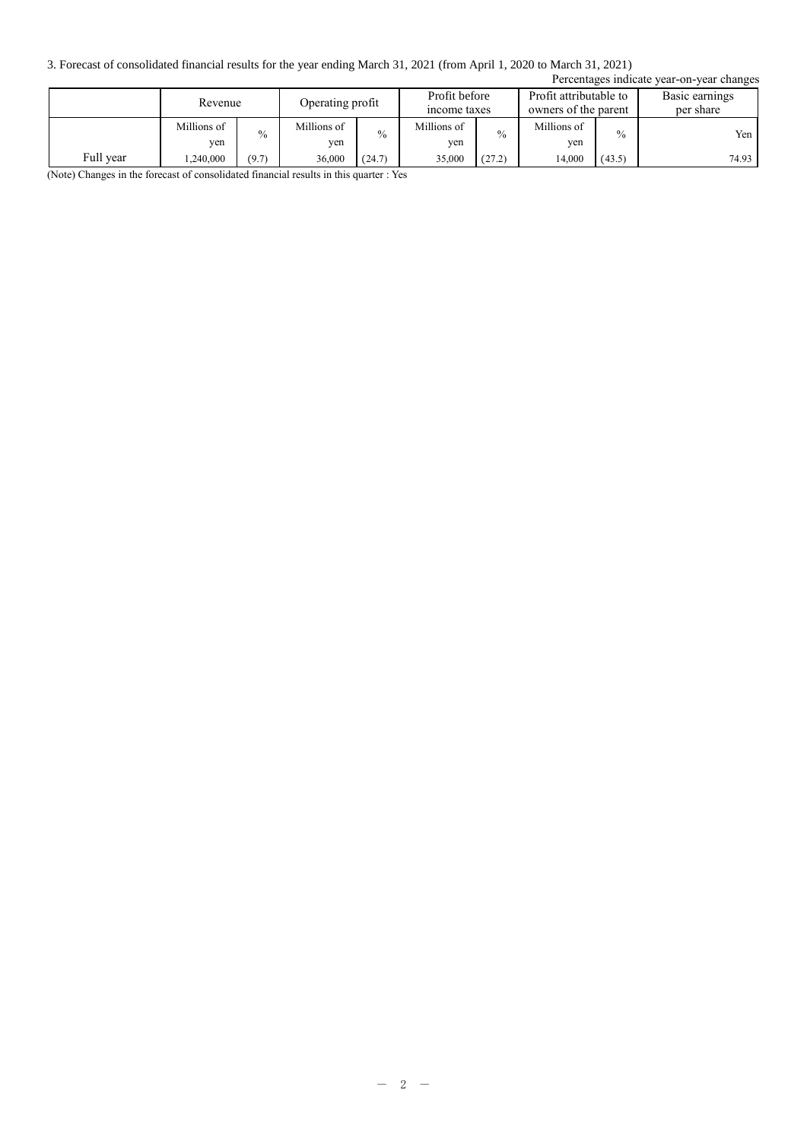3. Forecast of consolidated financial results for the year ending March 31, 2021 (from April 1, 2020 to March 31, 2021)

| Percentages indicate year-on-year changes |                    |               |                                                   |               |                    |               |                    |                                                |       |                             |
|-------------------------------------------|--------------------|---------------|---------------------------------------------------|---------------|--------------------|---------------|--------------------|------------------------------------------------|-------|-----------------------------|
|                                           | Revenue            |               | Profit before<br>Operating profit<br>income taxes |               |                    |               |                    | Profit attributable to<br>owners of the parent |       | Basic earnings<br>per share |
|                                           | Millions of<br>ven | $\frac{0}{0}$ | Millions of<br>yen                                | $\frac{0}{0}$ | Millions of<br>ven | $\frac{0}{0}$ | Millions of<br>ven | $\frac{0}{0}$                                  | Yen   |                             |
| Full year                                 | .240,000           | (9.7)         | 36,000                                            | (24.7)        | 35,000             | (27.2)        | 14.000             | (43.5)                                         | 74.93 |                             |

(Note) Changes in the forecast of consolidated financial results in this quarter : Yes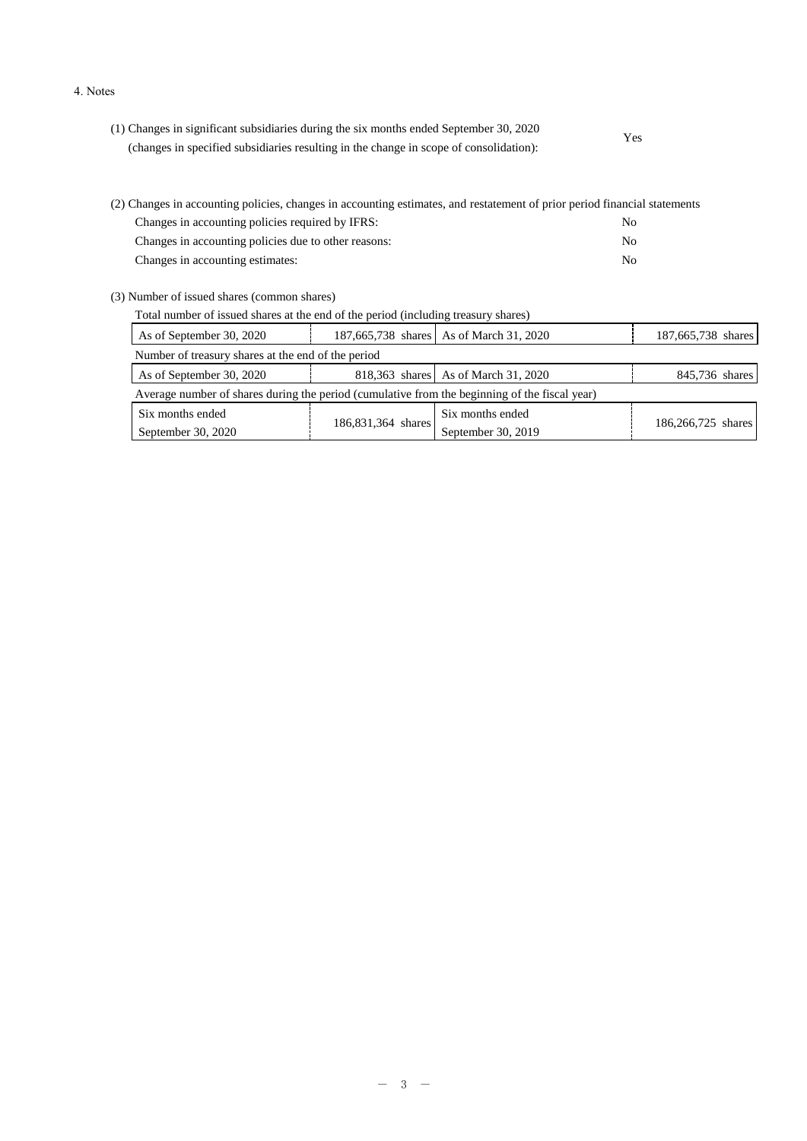#### 4. Notes

| (1) Changes in significant subsidiaries during the six months ended September 30, 2020 | Yes |  |
|----------------------------------------------------------------------------------------|-----|--|
| (changes in specified subsidiaries resulting in the change in scope of consolidation): |     |  |

| (2) Changes in accounting policies, changes in accounting estimates, and restatement of prior period financial statements |     |
|---------------------------------------------------------------------------------------------------------------------------|-----|
| Changes in accounting policies required by IFRS:                                                                          | No. |
| Changes in accounting policies due to other reasons:                                                                      | No. |
| Changes in accounting estimates:                                                                                          | No. |

(3) Number of issued shares (common shares)

| Total number of issued shares at the end of the period (including treasury shares)            |                    |                                         |                    |  |  |  |
|-----------------------------------------------------------------------------------------------|--------------------|-----------------------------------------|--------------------|--|--|--|
| As of September 30, 2020                                                                      |                    | 187,665,738 shares As of March 31, 2020 | 187,665,738 shares |  |  |  |
| Number of treasury shares at the end of the period                                            |                    |                                         |                    |  |  |  |
| As of September 30, 2020                                                                      |                    | 818,363 shares As of March 31, 2020     | 845,736 shares     |  |  |  |
| Average number of shares during the period (cumulative from the beginning of the fiscal year) |                    |                                         |                    |  |  |  |
| Six months ended                                                                              |                    | Six months ended                        |                    |  |  |  |
| September 30, 2020                                                                            | 186,831,364 shares | September 30, 2019                      | 186,266,725 shares |  |  |  |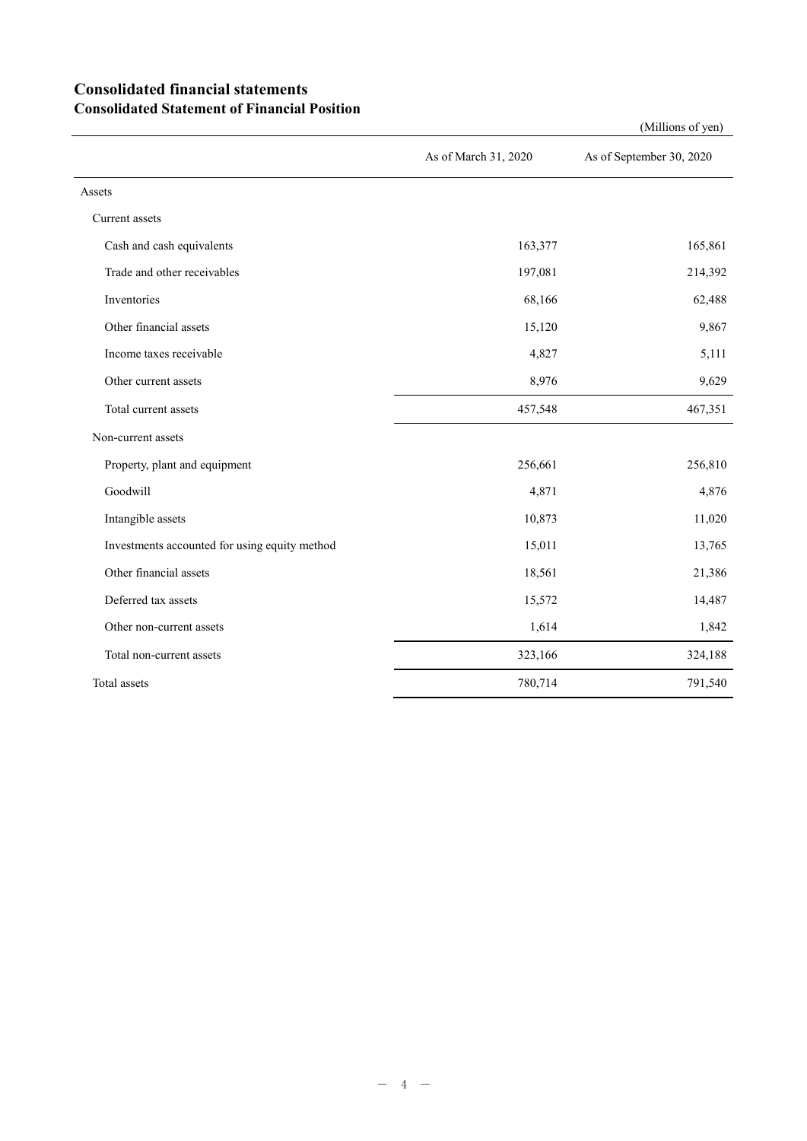## **Consolidated financial statements Consolidated Statement of Financial Position**

|                                               | As of March 31, 2020 | As of September 30, 2020 |
|-----------------------------------------------|----------------------|--------------------------|
| Assets                                        |                      |                          |
| Current assets                                |                      |                          |
| Cash and cash equivalents                     | 163,377              | 165,861                  |
| Trade and other receivables                   | 197,081              | 214,392                  |
| Inventories                                   | 68,166               | 62,488                   |
| Other financial assets                        | 15,120               | 9,867                    |
| Income taxes receivable                       | 4,827                | 5,111                    |
| Other current assets                          | 8,976                | 9,629                    |
| Total current assets                          | 457,548              | 467,351                  |
| Non-current assets                            |                      |                          |
| Property, plant and equipment                 | 256,661              | 256,810                  |
| Goodwill                                      | 4,871                | 4,876                    |
| Intangible assets                             | 10,873               | 11,020                   |
| Investments accounted for using equity method | 15,011               | 13,765                   |
| Other financial assets                        | 18,561               | 21,386                   |
| Deferred tax assets                           | 15,572               | 14,487                   |
| Other non-current assets                      | 1,614                | 1,842                    |
| Total non-current assets                      | 323,166              | 324,188                  |
| Total assets                                  | 780,714              | 791,540                  |

(Millions of yen)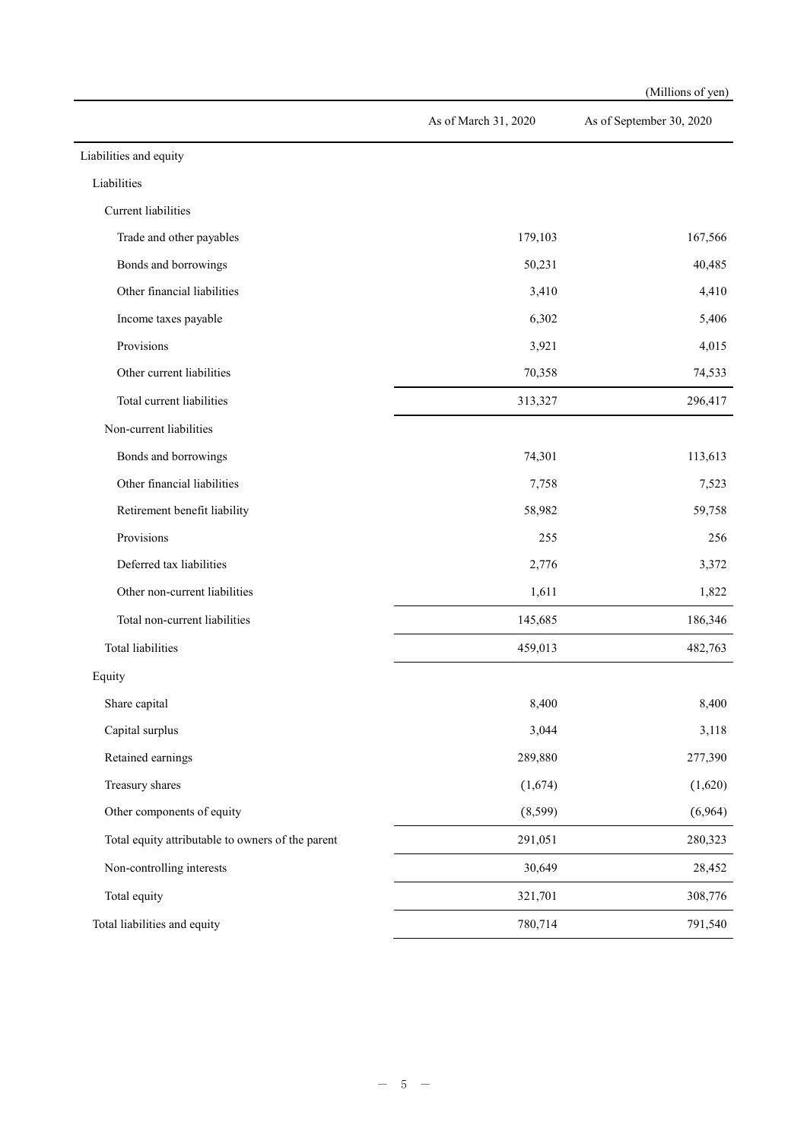|                                                   |                      | (Millions of yen)        |
|---------------------------------------------------|----------------------|--------------------------|
|                                                   | As of March 31, 2020 | As of September 30, 2020 |
| Liabilities and equity                            |                      |                          |
| Liabilities                                       |                      |                          |
| Current liabilities                               |                      |                          |
| Trade and other payables                          | 179,103              | 167,566                  |
| Bonds and borrowings                              | 50,231               | 40,485                   |
| Other financial liabilities                       | 3,410                | 4,410                    |
| Income taxes payable                              | 6,302                | 5,406                    |
| Provisions                                        | 3,921                | 4,015                    |
| Other current liabilities                         | 70,358               | 74,533                   |
| Total current liabilities                         | 313,327              | 296,417                  |
| Non-current liabilities                           |                      |                          |
| Bonds and borrowings                              | 74,301               | 113,613                  |
| Other financial liabilities                       | 7,758                | 7,523                    |
| Retirement benefit liability                      | 58,982               | 59,758                   |
| Provisions                                        | 255                  | 256                      |
| Deferred tax liabilities                          | 2,776                | 3,372                    |
| Other non-current liabilities                     | 1,611                | 1,822                    |
| Total non-current liabilities                     | 145,685              | 186,346                  |
| Total liabilities                                 | 459,013              | 482,763                  |
| Equity                                            |                      |                          |
| Share capital                                     | 8,400                | 8,400                    |
| Capital surplus                                   | 3,044                | 3,118                    |
| Retained earnings                                 | 289,880              | 277,390                  |
| Treasury shares                                   | (1,674)              | (1,620)                  |
| Other components of equity                        | (8, 599)             | (6,964)                  |
| Total equity attributable to owners of the parent | 291,051              | 280,323                  |
| Non-controlling interests                         | 30,649               | 28,452                   |
| Total equity                                      | 321,701              | 308,776                  |
| Total liabilities and equity                      | 780,714              | 791,540                  |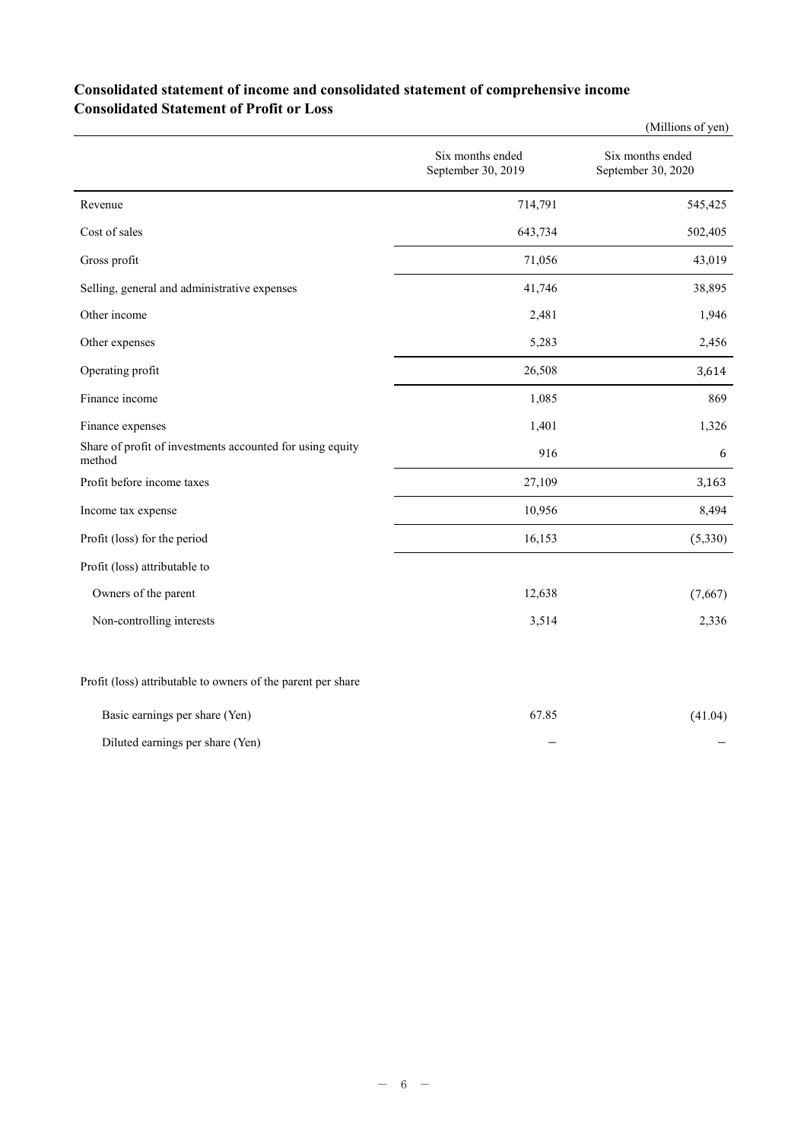## **Consolidated statement of income and consolidated statement of comprehensive income Consolidated Statement of Profit or Loss**

|                                                                     |                                        | (Millions of yen)                      |
|---------------------------------------------------------------------|----------------------------------------|----------------------------------------|
|                                                                     | Six months ended<br>September 30, 2019 | Six months ended<br>September 30, 2020 |
| Revenue                                                             | 714,791                                | 545,425                                |
| Cost of sales                                                       | 643,734                                | 502,405                                |
| Gross profit                                                        | 71,056                                 | 43,019                                 |
| Selling, general and administrative expenses                        | 41,746                                 | 38,895                                 |
| Other income                                                        | 2,481                                  | 1,946                                  |
| Other expenses                                                      | 5,283                                  | 2,456                                  |
| Operating profit                                                    | 26,508                                 | 3,614                                  |
| Finance income                                                      | 1,085                                  | 869                                    |
| Finance expenses                                                    | 1,401                                  | 1,326                                  |
| Share of profit of investments accounted for using equity<br>method | 916                                    | 6                                      |
| Profit before income taxes                                          | 27,109                                 | 3,163                                  |
| Income tax expense                                                  | 10,956                                 | 8,494                                  |
| Profit (loss) for the period                                        | 16,153                                 | (5,330)                                |
| Profit (loss) attributable to                                       |                                        |                                        |
| Owners of the parent                                                | 12,638                                 | (7,667)                                |
| Non-controlling interests                                           | 3,514                                  | 2,336                                  |
| Profit (loss) attributable to owners of the parent per share        |                                        |                                        |
| Basic earnings per share (Yen)                                      | 67.85                                  | (41.04)                                |

| $\mathbf{C}$ . The set of $\mathbf{C}$<br>$\sim$ $\sim$ | ______ | $\cdots$ |
|---------------------------------------------------------|--------|----------|
|                                                         |        |          |
| Diluted earnings per share (Yen)                        |        |          |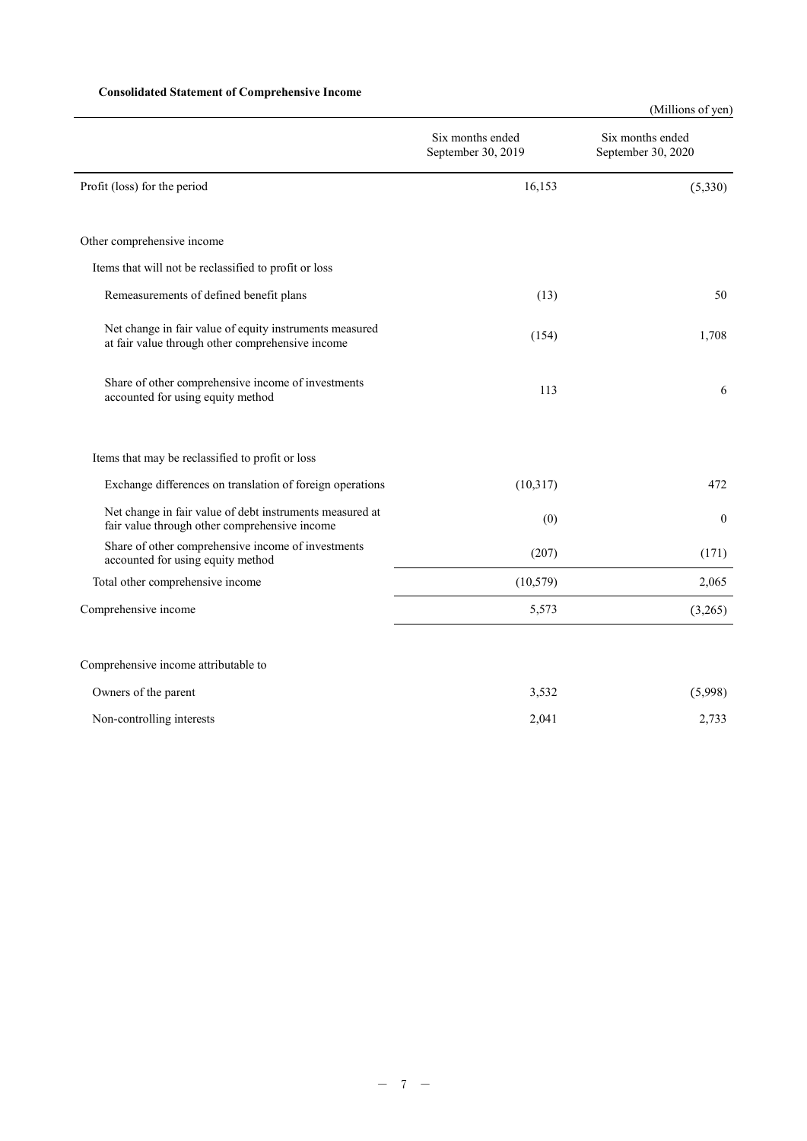### **Consolidated Statement of Comprehensive Income**

(Millions of yen)

|                                                                                                             | Six months ended<br>September 30, 2019 | Six months ended<br>September 30, 2020 |
|-------------------------------------------------------------------------------------------------------------|----------------------------------------|----------------------------------------|
| Profit (loss) for the period                                                                                | 16,153                                 | (5,330)                                |
| Other comprehensive income                                                                                  |                                        |                                        |
| Items that will not be reclassified to profit or loss                                                       |                                        |                                        |
| Remeasurements of defined benefit plans                                                                     | (13)                                   | 50                                     |
| Net change in fair value of equity instruments measured<br>at fair value through other comprehensive income | (154)                                  | 1,708                                  |
| Share of other comprehensive income of investments<br>accounted for using equity method                     | 113                                    | 6                                      |
| Items that may be reclassified to profit or loss                                                            |                                        |                                        |
| Exchange differences on translation of foreign operations                                                   | (10,317)                               | 472                                    |
| Net change in fair value of debt instruments measured at<br>fair value through other comprehensive income   | (0)                                    | $\mathbf{0}$                           |
| Share of other comprehensive income of investments<br>accounted for using equity method                     | (207)                                  | (171)                                  |
| Total other comprehensive income                                                                            | (10, 579)                              | 2,065                                  |
| Comprehensive income                                                                                        | 5,573                                  | (3,265)                                |
| Comprehensive income attributable to                                                                        |                                        |                                        |
| Owners of the parent                                                                                        | 3,532                                  | (5,998)                                |
| Non-controlling interests                                                                                   | 2,041                                  | 2,733                                  |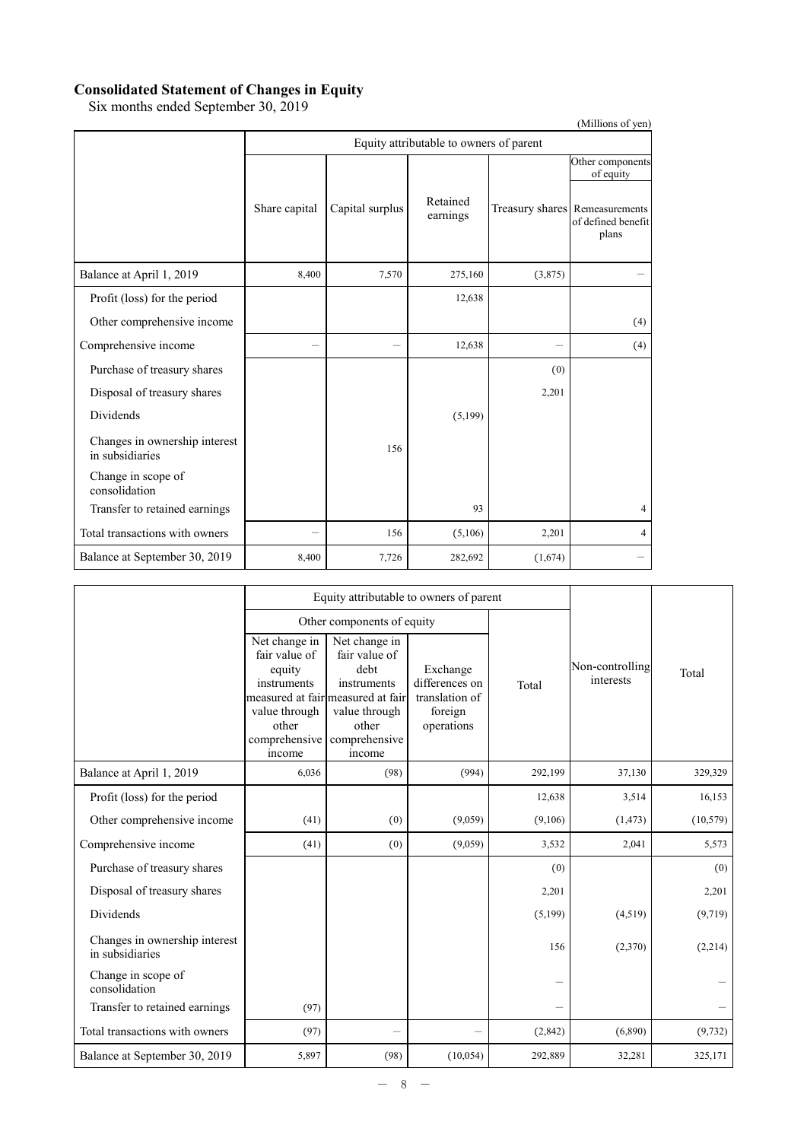### **Consolidated Statement of Changes in Equity**

Six months ended September 30, 2019

|                                                  |               |                 |                                         |         | (Millions of yen)                                                                              |
|--------------------------------------------------|---------------|-----------------|-----------------------------------------|---------|------------------------------------------------------------------------------------------------|
|                                                  |               |                 | Equity attributable to owners of parent |         |                                                                                                |
|                                                  | Share capital | Capital surplus | Retained<br>earnings                    |         | Other components<br>of equity<br>Treasury shares Remeasurements<br>of defined benefit<br>plans |
| Balance at April 1, 2019                         | 8,400         | 7,570           | 275,160                                 | (3,875) |                                                                                                |
| Profit (loss) for the period                     |               |                 | 12,638                                  |         |                                                                                                |
| Other comprehensive income                       |               |                 |                                         |         | (4)                                                                                            |
| Comprehensive income                             |               |                 | 12,638                                  |         | (4)                                                                                            |
| Purchase of treasury shares                      |               |                 |                                         | (0)     |                                                                                                |
| Disposal of treasury shares                      |               |                 |                                         | 2,201   |                                                                                                |
| <b>Dividends</b>                                 |               |                 | (5,199)                                 |         |                                                                                                |
| Changes in ownership interest<br>in subsidiaries |               | 156             |                                         |         |                                                                                                |
| Change in scope of<br>consolidation              |               |                 |                                         |         |                                                                                                |
| Transfer to retained earnings                    |               |                 | 93                                      |         | 4                                                                                              |
| Total transactions with owners                   |               | 156             | (5,106)                                 | 2,201   | 4                                                                                              |
| Balance at September 30, 2019                    | 8,400         | 7,726           | 282,692                                 | (1,674) |                                                                                                |

|                                                  |                                                                                                              | Equity attributable to owners of parent                                                                                                         |                                                                       |         |                              |           |
|--------------------------------------------------|--------------------------------------------------------------------------------------------------------------|-------------------------------------------------------------------------------------------------------------------------------------------------|-----------------------------------------------------------------------|---------|------------------------------|-----------|
|                                                  |                                                                                                              | Other components of equity                                                                                                                      |                                                                       |         |                              |           |
|                                                  | Net change in<br>fair value of<br>equity<br>instruments<br>value through<br>other<br>comprehensive<br>income | Net change in<br>fair value of<br>debt<br>instruments<br>measured at fair measured at fair<br>value through<br>other<br>comprehensive<br>income | Exchange<br>differences on<br>translation of<br>foreign<br>operations | Total   | Non-controlling<br>interests | Total     |
| Balance at April 1, 2019                         | 6,036                                                                                                        | (98)                                                                                                                                            | (994)                                                                 | 292,199 | 37,130                       | 329,329   |
| Profit (loss) for the period                     |                                                                                                              |                                                                                                                                                 |                                                                       | 12,638  | 3,514                        | 16,153    |
| Other comprehensive income                       | (41)                                                                                                         | (0)                                                                                                                                             | (9,059)                                                               | (9,106) | (1, 473)                     | (10, 579) |
| Comprehensive income                             | (41)                                                                                                         | (0)                                                                                                                                             | (9,059)                                                               | 3,532   | 2,041                        | 5,573     |
| Purchase of treasury shares                      |                                                                                                              |                                                                                                                                                 |                                                                       | (0)     |                              | (0)       |
| Disposal of treasury shares                      |                                                                                                              |                                                                                                                                                 |                                                                       | 2,201   |                              | 2,201     |
| <b>Dividends</b>                                 |                                                                                                              |                                                                                                                                                 |                                                                       | (5,199) | (4,519)                      | (9,719)   |
| Changes in ownership interest<br>in subsidiaries |                                                                                                              |                                                                                                                                                 |                                                                       | 156     | (2,370)                      | (2,214)   |
| Change in scope of<br>consolidation              |                                                                                                              |                                                                                                                                                 |                                                                       |         |                              |           |
| Transfer to retained earnings                    | (97)                                                                                                         |                                                                                                                                                 |                                                                       |         |                              |           |
| Total transactions with owners                   | (97)                                                                                                         | -                                                                                                                                               |                                                                       | (2,842) | (6,890)                      | (9, 732)  |
| Balance at September 30, 2019                    | 5,897                                                                                                        | (98)                                                                                                                                            | (10, 054)                                                             | 292,889 | 32,281                       | 325,171   |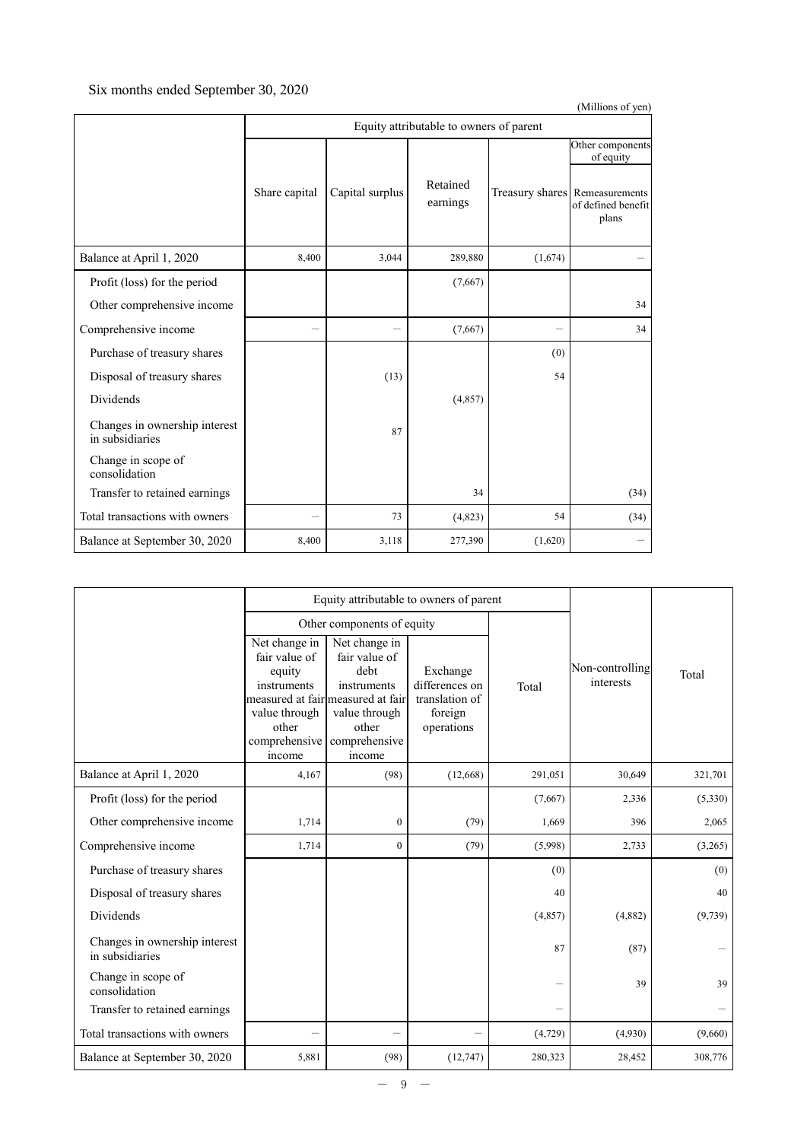## Six months ended September 30, 2020

|                                                  |               |                 |                                         |         | (Millions of yen)                                                                              |
|--------------------------------------------------|---------------|-----------------|-----------------------------------------|---------|------------------------------------------------------------------------------------------------|
|                                                  |               |                 | Equity attributable to owners of parent |         |                                                                                                |
|                                                  | Share capital | Capital surplus | Retained<br>earnings                    |         | Other components<br>of equity<br>Treasury shares Remeasurements<br>of defined benefit<br>plans |
| Balance at April 1, 2020                         | 8,400         | 3,044           | 289,880                                 | (1,674) |                                                                                                |
| Profit (loss) for the period                     |               |                 | (7,667)                                 |         |                                                                                                |
| Other comprehensive income                       |               |                 |                                         |         | 34                                                                                             |
| Comprehensive income                             |               |                 | (7,667)                                 |         | 34                                                                                             |
| Purchase of treasury shares                      |               |                 |                                         | (0)     |                                                                                                |
| Disposal of treasury shares                      |               | (13)            |                                         | 54      |                                                                                                |
| <b>Dividends</b>                                 |               |                 | (4,857)                                 |         |                                                                                                |
| Changes in ownership interest<br>in subsidiaries |               | 87              |                                         |         |                                                                                                |
| Change in scope of<br>consolidation              |               |                 |                                         |         |                                                                                                |
| Transfer to retained earnings                    |               |                 | 34                                      |         | (34)                                                                                           |
| Total transactions with owners                   |               | 73              | (4,823)                                 | 54      | (34)                                                                                           |
| Balance at September 30, 2020                    | 8,400         | 3,118           | 277,390                                 | (1,620) |                                                                                                |

|                                                  |                                                                                                              | Equity attributable to owners of parent                                                                                                         |                                                                       |          |                              |          |
|--------------------------------------------------|--------------------------------------------------------------------------------------------------------------|-------------------------------------------------------------------------------------------------------------------------------------------------|-----------------------------------------------------------------------|----------|------------------------------|----------|
|                                                  |                                                                                                              |                                                                                                                                                 |                                                                       |          |                              |          |
|                                                  |                                                                                                              | Other components of equity                                                                                                                      |                                                                       |          |                              |          |
|                                                  | Net change in<br>fair value of<br>equity<br>instruments<br>value through<br>other<br>comprehensive<br>income | Net change in<br>fair value of<br>debt<br>instruments<br>measured at fair measured at fair<br>value through<br>other<br>comprehensive<br>income | Exchange<br>differences on<br>translation of<br>foreign<br>operations | Total    | Non-controlling<br>interests | Total    |
| Balance at April 1, 2020                         | 4,167                                                                                                        | (98)                                                                                                                                            | (12,668)                                                              | 291,051  | 30,649                       | 321,701  |
| Profit (loss) for the period                     |                                                                                                              |                                                                                                                                                 |                                                                       | (7,667)  | 2,336                        | (5,330)  |
| Other comprehensive income                       | 1,714                                                                                                        | $\boldsymbol{0}$                                                                                                                                | (79)                                                                  | 1,669    | 396                          | 2,065    |
| Comprehensive income                             | 1,714                                                                                                        | $\overline{0}$                                                                                                                                  | (79)                                                                  | (5,998)  | 2,733                        | (3,265)  |
| Purchase of treasury shares                      |                                                                                                              |                                                                                                                                                 |                                                                       | (0)      |                              | (0)      |
| Disposal of treasury shares                      |                                                                                                              |                                                                                                                                                 |                                                                       | 40       |                              | 40       |
| Dividends                                        |                                                                                                              |                                                                                                                                                 |                                                                       | (4, 857) | (4,882)                      | (9, 739) |
| Changes in ownership interest<br>in subsidiaries |                                                                                                              |                                                                                                                                                 |                                                                       | 87       | (87)                         |          |
| Change in scope of<br>consolidation              |                                                                                                              |                                                                                                                                                 |                                                                       |          | 39                           | 39       |
| Transfer to retained earnings                    |                                                                                                              |                                                                                                                                                 |                                                                       |          |                              |          |
| Total transactions with owners                   |                                                                                                              | -                                                                                                                                               |                                                                       | (4, 729) | (4,930)                      | (9,660)  |
| Balance at September 30, 2020                    | 5,881                                                                                                        | (98)                                                                                                                                            | (12, 747)                                                             | 280,323  | 28,452                       | 308,776  |